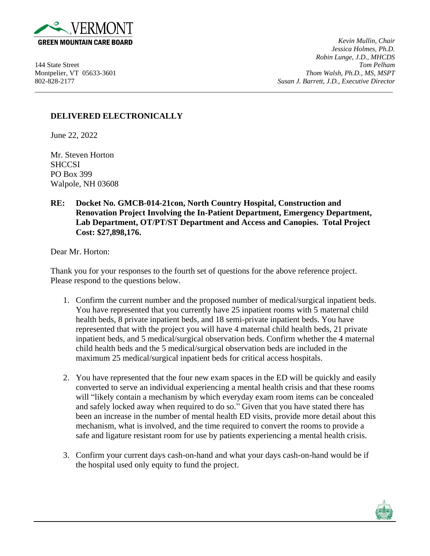

*Kevin Mullin, Chair Jessica Holmes, Ph.D. Robin Lunge, J.D., MHCDS* 144 State Street *Tom Pelham* Montpelier, VT 05633-3601 *Thom Walsh, Ph.D., MS, MSPT* 802-828-2177 *Susan J. Barrett, J.D., Executive Director*

## **DELIVERED ELECTRONICALLY**

June 22, 2022

Mr. Steven Horton **SHCCSI** PO Box 399 Walpole, NH 03608

## **RE: Docket No. GMCB-014-21con, North Country Hospital, Construction and Renovation Project Involving the In-Patient Department, Emergency Department, Lab Department, OT/PT/ST Department and Access and Canopies. Total Project Cost: \$27,898,176.**

\_\_\_\_\_\_\_\_\_\_\_\_\_\_\_\_\_\_\_\_\_\_\_\_\_\_\_\_\_\_\_\_\_\_\_\_\_\_\_\_\_\_\_\_\_\_\_\_\_\_\_\_\_\_\_\_\_\_\_\_\_\_\_\_\_\_\_\_\_\_\_\_\_\_\_\_\_\_\_\_\_\_\_\_\_\_\_\_\_\_\_\_\_\_\_\_\_\_\_\_\_\_

Dear Mr. Horton:

Thank you for your responses to the fourth set of questions for the above reference project. Please respond to the questions below.

- 1. Confirm the current number and the proposed number of medical/surgical inpatient beds. You have represented that you currently have 25 inpatient rooms with 5 maternal child health beds, 8 private inpatient beds, and 18 semi-private inpatient beds. You have represented that with the project you will have 4 maternal child health beds, 21 private inpatient beds, and 5 medical/surgical observation beds. Confirm whether the 4 maternal child health beds and the 5 medical/surgical observation beds are included in the maximum 25 medical/surgical inpatient beds for critical access hospitals.
- 2. You have represented that the four new exam spaces in the ED will be quickly and easily converted to serve an individual experiencing a mental health crisis and that these rooms will "likely contain a mechanism by which everyday exam room items can be concealed and safely locked away when required to do so." Given that you have stated there has been an increase in the number of mental health ED visits, provide more detail about this mechanism, what is involved, and the time required to convert the rooms to provide a safe and ligature resistant room for use by patients experiencing a mental health crisis.
- 3. Confirm your current days cash-on-hand and what your days cash-on-hand would be if the hospital used only equity to fund the project.